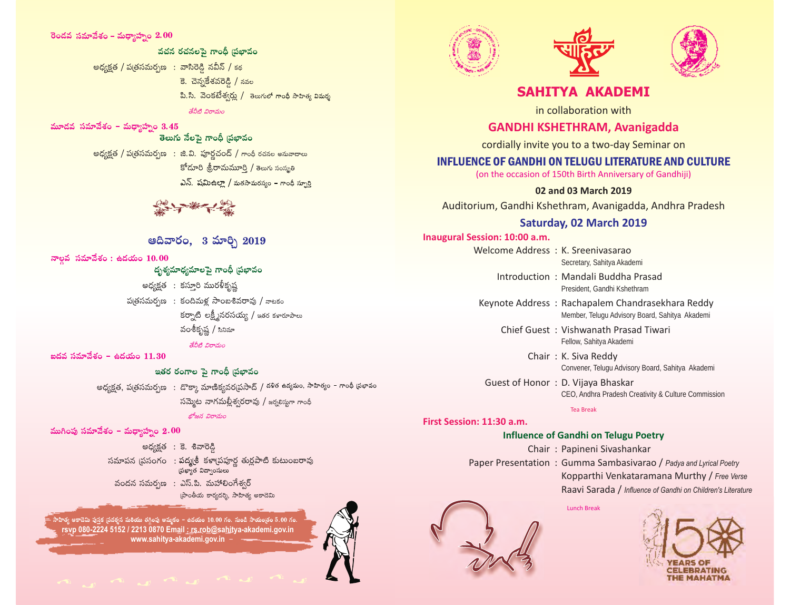#### **2.00**

వచన రచనలపై గాంధీ బ్రభావం అధ్యక్షత / పత్రసమర్పణ : వాసిరెడ్డి నవీన్ / కథ కె. చెన్నకేశవరెడ్డి / నవల పి.సి. వెంకటేశ్వర్లు / తెలుగులో గాంధీ సాహిత్య విమర్శ శేనీటి విరామం

మూదవ సమావేశం – మధ్యాహ్నం 3.45

#### తెలుగు నేలపై గాంధీ (పభావం

అధ్యక్షత / ప(తసమర్పణ): జి.వి. పూర్ణచంద్ / గాంథీ రచనల అనువాదాలు కోదూరి శ్రీరామమూర్తి / తెలుగు సంస్థ్రతి  $\Delta$ న్. షమిఉల్లా / మతసామరస్యం – గాంధీ స్పూర్తి

## అదివారం. 3 మార్చి 2019

నాల్గవ సమావేశం : ఉదయం 10.00<br>దృశ్యమాధ్యమాలపై గాంధీ ప్రభావం

అధ్యక్షత : కస్తూరి మురళీకృష్ణ  $\frac{1}{2}$ బ్రీ సమర్పణ: కందిమళ్ల సాంబశివరావు / నాటకం కర్నాటి లక్ష్మీనరసయ్య / ఇతర కళారూపాలు వంశీకృష్ణ / సినిమా

#### శేవీటి విరామం

ఐదవ సమావేశం – ఉదయం  $11.30$ 

### ఇతర రంగాల పె గాంధీ వ్రభావం

అధ్యక్షత, ప(తసమర్పణ): డొక్కా మాణిక్యవర(ప్రసాద్ / దళిత ఉద్యమం, సాహిత్యం – గాంధీ ప్రభావం సమ్మెట నాగమల్లీశ్వరరావు / జర్నలిస్తుగా గాంధీ

#### బోజన విరామం

ముగింపు సమావేశం – మధ్యాహ్నం 2.00

అధ్యక్రత : కె. శివారెడ్డి సమాపన (పసంగం): పద్మతీ కళామహర్త తుర్ణపాటి కుటుంబరావు సఖ్యాత విద్వాంసులు వందన సమర్పణ : ఎస్.పి. మహాలింగేశ్వర్ ప్రాంతీయ కార్యదర్శి, సాహిత్య అకాదెమి

**rsvp 080-2224 5152 / 2213 0870 Email : rs.rob@sahitya-akademi.gov.in www.sahitya-akademi.gov.in** .<br>.<br>సాహిత్య అకాదెమి పుస్తక (పదర్శన మరియు తగ్గింపు అమ్మకం – ఉదయం 10.00 గం. నుండి సాయం(తం 5.00 గం.







# **SAHITYA AKADEMI**

in collaboration with

# **GANDHI KSHETHRAM, Avanigadda**

cordially invite you to a two-day Seminar on

## INFLUENCE OF GANDHI ON TELUGU LITERATURE AND CULTURE

(on the occasion of 150th Birth Anniversary of Gandhiji)

### **02 and 03 March 2019**

Auditorium, Gandhi Kshethram, Avanigadda, Andhra Pradesh

## **Saturday, 02 March 2019**

**Inaugural Session: 10:00 a.m.**

Welcome Address : K. Sreenivasarao Secretary, Sahitya Akademi

> Introduction : Mandali Buddha Prasad President, Gandhi Kshethram

Keynote Address : Rachapalem Chandrasekhara Reddy Member, Telugu Advisory Board, Sahitya Akademi

Chief Guest : Vishwanath Prasad Tiwari Fellow, Sahitya Akademi

> Chair : K. Siva Reddy Convener, Telugu Advisory Board, Sahitya Akademi

Guest of Honor : D. Vijaya Bhaskar CEO, Andhra Pradesh Creativity & Culture Commission

Tea Break

# **First Session: 11:30 a.m.**

# **Influence of Gandhi on Telugu Poetry**

Chair : Papineni Sivashankar

Paper Presentation : Gumma Sambasivarao / *Padya and Lyrical Poetry* Kopparthi Venkataramana Murthy / *Free Verse*  Raavi Sarada / *Influence of Gandhi on Children's Literature*

Lunch Break